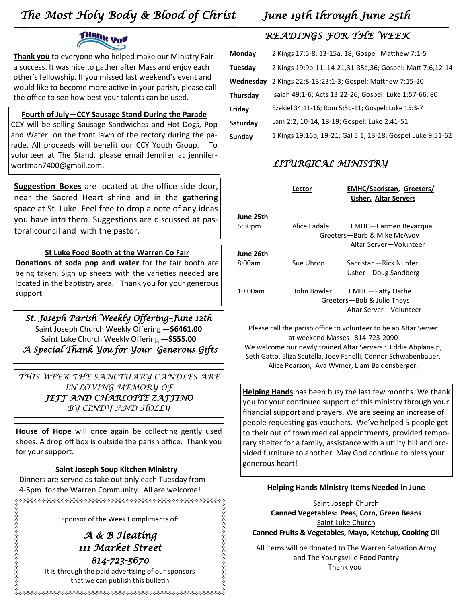# *The Most Holy Body & Blood of Christ June 19th through June 25th*



**Thank you** to everyone who helped make our Ministry Fair a success. It was nice to gather after Mass and enjoy each other's fellowship. If you missed last weekend's event and would like to become more active in your parish, please call the office to see how best your talents can be used.

**Fourth of July—CCY Sausage Stand During the Parade** CCY will be selling Sausage Sandwiches and Hot Dogs, Pop and Water on the front lawn of the rectory during the parade. All proceeds will benefit our CCY Youth Group. To volunteer at The Stand, please email Jennifer at jenniferwortman7400@gmail.com.

**Suggestion Boxes** are located at the office side door, near the Sacred Heart shrine and in the gathering space at St. Luke. Feel free to drop a note of any ideas you have into them. Suggestions are discussed at pastoral council and with the pastor.

### **St Luke Food Booth at the Warren Co Fair**

**Donations of soda pop and water** for the fair booth are being taken. Sign up sheets with the varieties needed are located in the baptistry area. Thank you for your generous support.

*St. Joseph Parish Weekly Offering–June 12th*  Saint Joseph Church Weekly Offering **—\$6461.00** Saint Luke Church Weekly Offering **—\$555.00**  *A Special Thank You for Your Generous Gifts* 

*THIS WEEK THE SANCTUARY CANDLES ARE IN LOVING MEMORY OF JEFF AND CHARLOTTE ZAFFINO BY CINDY AND HOLLY*

**House of Hope** will once again be collecting gently used shoes. A drop off box is outside the parish office. Thank you for your support.

## **Saint Joseph Soup Kitchen Ministry**

Dinners are served as take out only each Tuesday from 4-5pm for the Warren Community. All are welcome!

Sponsor of the Week Compliments of: *A & B Heating* 

*814-723-5670*  It is through the paid advertising of our sponsors that we can publish this bulletin

*111 Market Street* 

## *READINGS FOR THE WEEK*

| Monday    | 2 Kings 17:5-8, 13-15a, 18; Gospel: Matthew 7:1-5          |
|-----------|------------------------------------------------------------|
| Tuesdav   | 2 Kings 19:9b-11, 14-21,31-35a,36; Gospel: Matt 7:6,12-14  |
| Wednesday | 2 Kings 22:8-13;23:1-3; Gospel: Matthew 7:15-20            |
| Thursdav  | Isaiah 49:1-6; Acts 13:22-26; Gospel: Luke 1:57-66, 80     |
| Friday    | Ezekiel 34:11-16; Rom 5:5b-11; Gospel: Luke 15:3-7         |
| Saturdav  | Lam 2:2, 10-14, 18-19; Gospel: Luke 2:41-51                |
| Sunday    | 1 Kings 19:16b, 19-21; Gal 5:1, 13-18; Gospel Luke 9:51-62 |

## *LITURGICAL MINISTRY*

|                     | Lector       | <b>EMHC/Sacristan, Greeters/</b><br><b>Usher, Altar Servers</b>                      |
|---------------------|--------------|--------------------------------------------------------------------------------------|
| June 25th<br>5:30pm | Alice Fadale | <b>EMHC-Carmen Bevacqua</b><br>Greeters-Barb & Mike McAvoy<br>Altar Server-Volunteer |
| June 26th<br>8:00am | Sue Uhron    | Sacristan - Rick Nuhfer<br>Usher-Doug Sandberg                                       |
| 10:00am             | John Bowler  | EMHC-Patty Osche<br>Greeters-Bob & Julie Theys<br>Altar Server-Volunteer             |

Please call the parish office to volunteer to be an Altar Server at weekend Masses 814-723-2090 We welcome our newly trained Altar Servers : Eddie Abplanalp, Seth Gatto, Eliza Scutella, Joey Fanelli, Connor Schwabenbauer, Alice Pearson, Ava Wymer, Liam Baldensberger,

**Helping Hands** has been busy the last few months. We thank you for your continued support of this ministry through your financial support and prayers. We are seeing an increase of people requesting gas vouchers. We've helped 5 people get to their out of town medical appointments, provided temporary shelter for a family, assistance with a utility bill and provided furniture to another. May God continue to bless your generous heart!

#### **Helping Hands Ministry Items Needed in June**

Saint Joseph Church **Canned Vegetables: Peas, Corn, Green Beans** Saint Luke Church **Canned Fruits & Vegetables, Mayo, Ketchup, Cooking Oil**

All items will be donated to The Warren Salvation Army and The Youngsville Food Pantry Thank you!